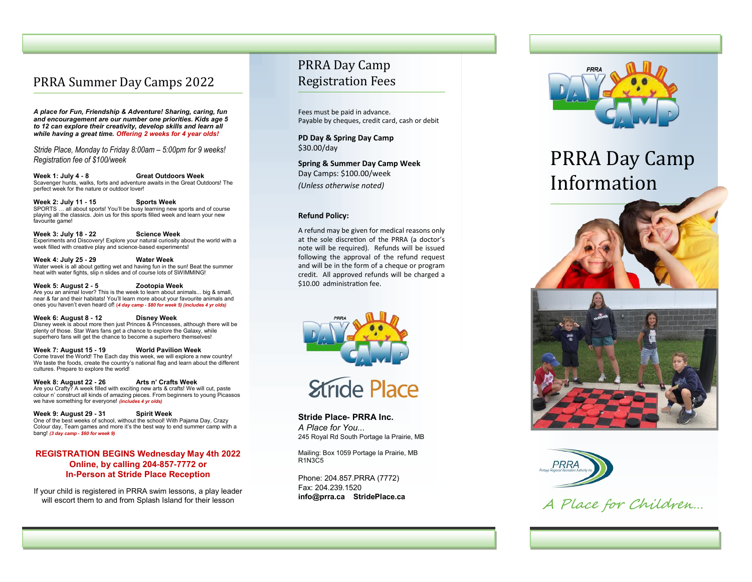# PRRA Summer Day Camps 2022

*A place for Fun, Friendship & Adventure! Sharing, caring, fun and encouragement are our number one priorities. Kids age 5 to 12 can explore their creativity, develop skills and learn all while having a great time. Offering 2 weeks for 4 year olds!*

*Stride Place, Monday to Friday 8:00am – 5:00pm for 9 weeks! Registration fee of \$100/week* 

**Week 1: July 4 - 8 Great Outdoors Week**  Scavenger hunts, walks, forts and adventure awaits in the Great Outdoors! The perfect week for the nature or outdoor lover!

**Week 2: July 11 - 15 Sports Week** SPORTS … all about sports! You 'll be busy learning new sports and of course playing all the classics. Join us for this sports filled week and learn your new favourite game!

**Week 3: July 18 - 22 Science Week** Experiments and Discovery! Explore your natural curiosity about the world with a week filled with creative play and science -based experiments!

**Week 4: July 25 - 29 Water Week**  Water week is all about getting wet and having fun in the sun! Beat the summer heat with water fights, slip n slides and of course lots of SWIMMING!

**Week 5: August 2 - 5 Zootopia Week**  Are you an animal lover? This is the week to learn about animals... big & small, near & far and their habitats! You 'll learn more about your favourite animals and ones you haven 't even heard of! **(***4 day camp - \$80 for week 5) (includes 4 yr olds)*

**Week 6: August 8 - 12 Disney Week** Disney week is about more then just Princes & Princesses, although there will be plenty of those. Star Wars fans get a chance to explore the Galaxy, while superhero fans will get the chance to become a superhero themselves!

**Week 7: August 15 - 19 World Pavilion Week**  Come travel the World! The Each day this week, we will explore a new country! We taste the foods, create the country 's national flag and learn about the different cultures. Prepare to explore the world!

**Week 8: August 22 - 26 Arts n' Crafts Week**  Are you Crafty? A week filled with exciting new arts & crafts! We will cut, paste colour n' construct all kinds of amazing pieces. From beginners to young Picassos we have something for everyone! *(includes 4 yr olds)*

**Week 9: August 29 - 31 Spirit Week**  One of the best weeks of school, without the school! With Pajama Day, Crazy Colour day, Team games and more it 's the best way to end summer camp with a bang! *(3 day camp - \$60 for week 9)*

## **REGISTRATION BEGINS Wednesday May 4th 2022 Online, by calling 204 -857 -7772 or In -Person at Stride Place Reception**

If your child is registered in PRRA swim lessons, a play leader will escort them to and from Splash Island for their lesson

# PRRA Day Camp Registration Fees

Fees must be paid in advance. Payable by cheques, credit card, cash or debit

**PD Day & Spring Day Camp** \$30.00/day

**Spring & Summer Day Camp Week** Day Camps: \$100.00/week *(Unless otherwise noted)*

#### **Refund Policy:**

A refund may be given for medical reasons only at the sole discretion of the PRRA (a doctor 's note will be required). Refunds will be issued following the approval of the refund request and will be in the form of a cheque or program credit. All approved refunds will be charged a \$10.00 administration fee.





Stride Place- PRRA Inc. *A Place for You...* 245 Royal Rd South Portage la Prairie, MB

Mailing: Box 1059 Portage la Prairie, MB R1N3C5

Phone: 204.857.PRRA (7772) Fax: 204.239.1520 **info@prra.ca StridePlace.ca**



# PRRA Day Camp Information